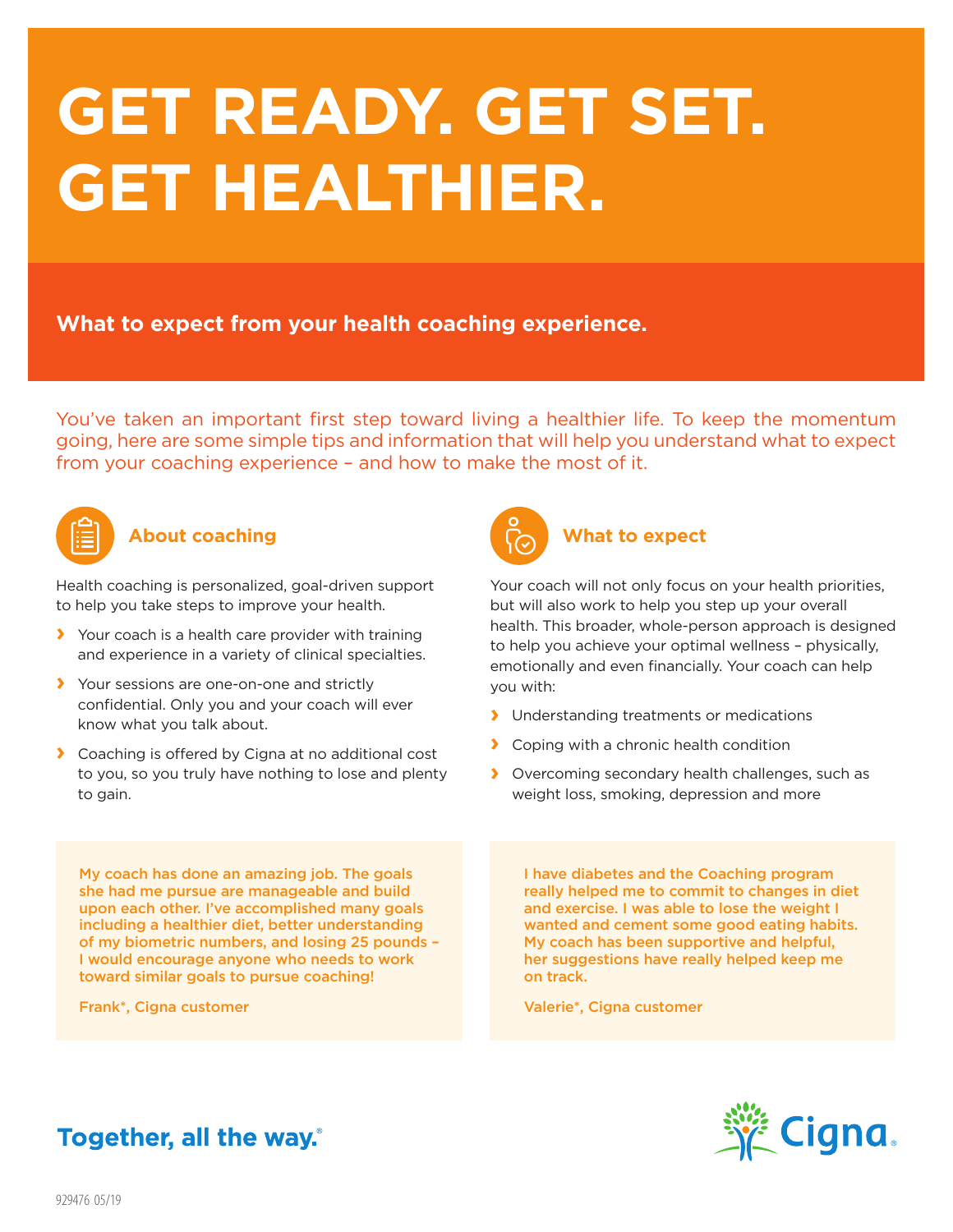# **GET READY. GET SET. GET HEALTHIER.**

**What to expect from your health coaching experience.**

You've taken an important first step toward living a healthier life. To keep the momentum going, here are some simple tips and information that will help you understand what to expect from your coaching experience – and how to make the most of it.



#### **About coaching**

Health coaching is personalized, goal-driven support to help you take steps to improve your health.

- **›** Your coach is a health care provider with training and experience in a variety of clinical specialties.
- **›** Your sessions are one-on-one and strictly confidential. Only you and your coach will ever know what you talk about.
- **›** Coaching is offered by Cigna at no additional cost to you, so you truly have nothing to lose and plenty to gain.



## **What to expect**

Your coach will not only focus on your health priorities, but will also work to help you step up your overall health. This broader, whole-person approach is designed to help you achieve your optimal wellness – physically, emotionally and even financially. Your coach can help you with:

- **›** Understanding treatments or medications
- **›** Coping with a chronic health condition
- **›** Overcoming secondary health challenges, such as weight loss, smoking, depression and more

My coach has done an amazing job. The goals she had me pursue are manageable and build upon each other. I've accomplished many goals including a healthier diet, better understanding of my biometric numbers, and losing 25 pounds – I would encourage anyone who needs to work toward similar goals to pursue coaching!

Frank\*, Cigna customer

I have diabetes and the Coaching program really helped me to commit to changes in diet and exercise. I was able to lose the weight I wanted and cement some good eating habits. My coach has been supportive and helpful, her suggestions have really helped keep me on track.

Valerie\*, Cigna customer



## Together, all the way.